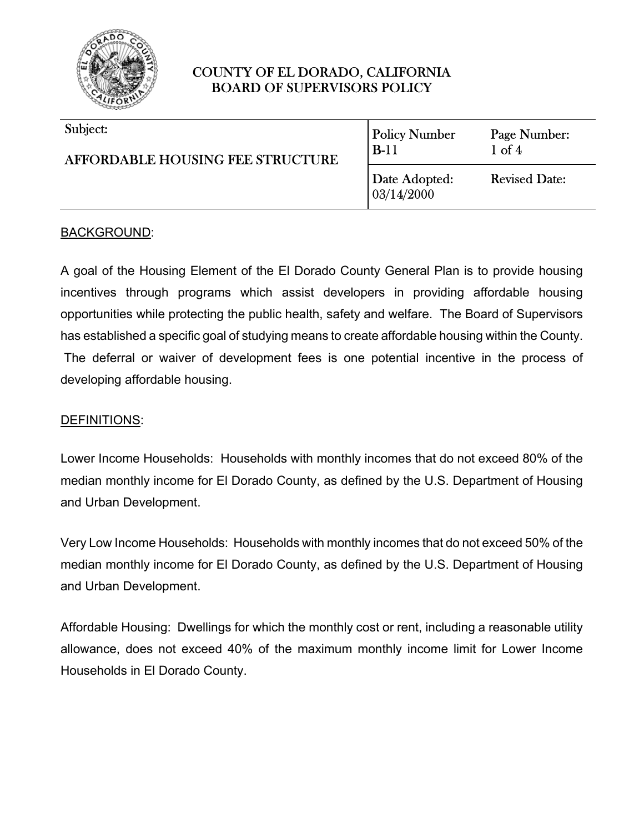

| Subject:<br><b>AFFORDABLE HOUSING FEE STRUCTURE</b> | <b>Policy Number</b><br>$B-11$ | Page Number:<br>$1$ of $4$ |
|-----------------------------------------------------|--------------------------------|----------------------------|
|                                                     | Date Adopted:<br>03/14/2000    | <b>Revised Date:</b>       |

### BACKGROUND:

A goal of the Housing Element of the El Dorado County General Plan is to provide housing incentives through programs which assist developers in providing affordable housing opportunities while protecting the public health, safety and welfare. The Board of Supervisors has established a specific goal of studying means to create affordable housing within the County. The deferral or waiver of development fees is one potential incentive in the process of developing affordable housing.

#### DEFINITIONS:

Lower Income Households: Households with monthly incomes that do not exceed 80% of the median monthly income for El Dorado County, as defined by the U.S. Department of Housing and Urban Development.

Very Low Income Households: Households with monthly incomes that do not exceed 50% of the median monthly income for El Dorado County, as defined by the U.S. Department of Housing and Urban Development.

Affordable Housing: Dwellings for which the monthly cost or rent, including a reasonable utility allowance, does not exceed 40% of the maximum monthly income limit for Lower Income Households in El Dorado County.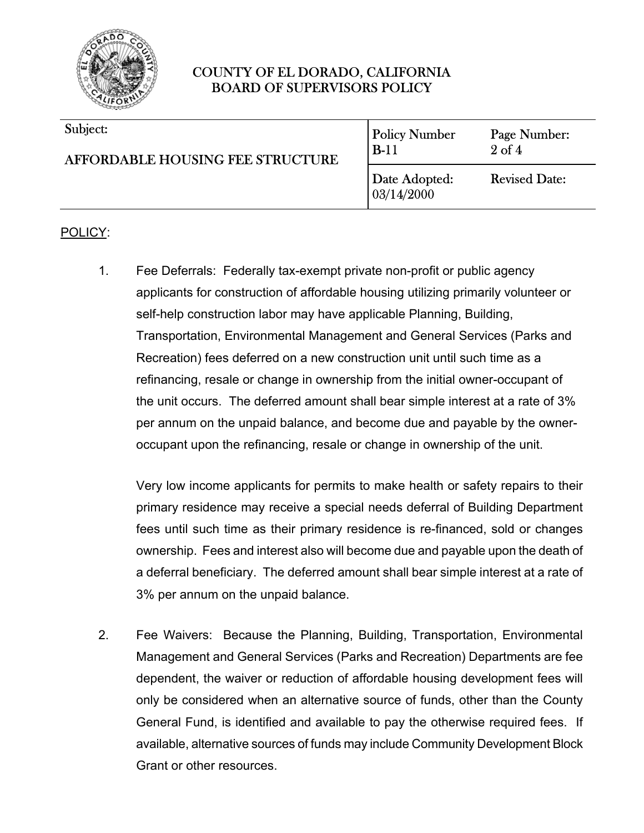

| Subject:<br><b>AFFORDABLE HOUSING FEE STRUCTURE</b> | <b>Policy Number</b><br>$B-11$ | Page Number:<br>$2$ of $4$ |
|-----------------------------------------------------|--------------------------------|----------------------------|
|                                                     | Date Adopted:<br>03/14/2000    | <b>Revised Date:</b>       |

#### POLICY:

1. Fee Deferrals: Federally tax-exempt private non-profit or public agency applicants for construction of affordable housing utilizing primarily volunteer or self-help construction labor may have applicable Planning, Building, Transportation, Environmental Management and General Services (Parks and Recreation) fees deferred on a new construction unit until such time as a refinancing, resale or change in ownership from the initial owner-occupant of the unit occurs. The deferred amount shall bear simple interest at a rate of 3% per annum on the unpaid balance, and become due and payable by the owneroccupant upon the refinancing, resale or change in ownership of the unit.

Very low income applicants for permits to make health or safety repairs to their primary residence may receive a special needs deferral of Building Department fees until such time as their primary residence is re-financed, sold or changes ownership. Fees and interest also will become due and payable upon the death of a deferral beneficiary. The deferred amount shall bear simple interest at a rate of 3% per annum on the unpaid balance.

2. Fee Waivers: Because the Planning, Building, Transportation, Environmental Management and General Services (Parks and Recreation) Departments are fee dependent, the waiver or reduction of affordable housing development fees will only be considered when an alternative source of funds, other than the County General Fund, is identified and available to pay the otherwise required fees. If available, alternative sources of funds may include Community Development Block Grant or other resources.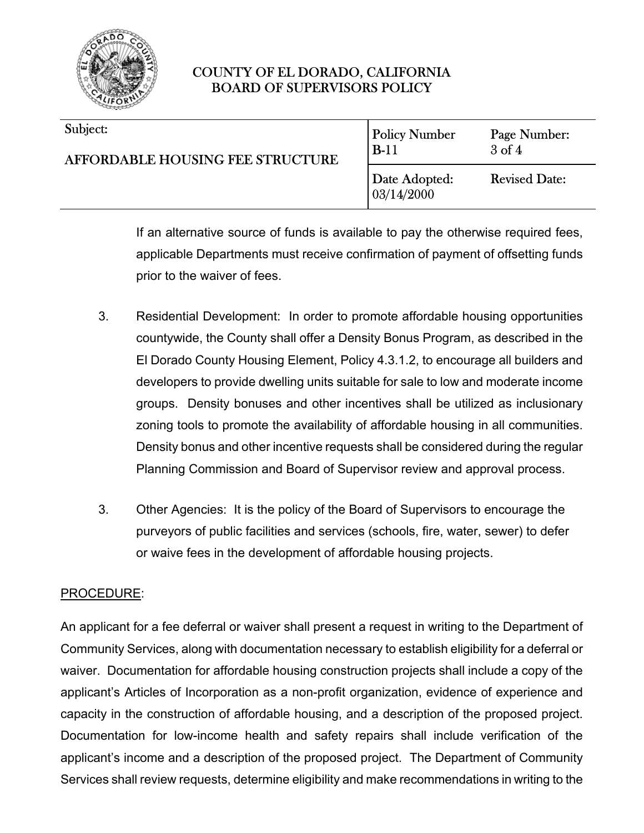

| Subject:<br>AFFORDABLE HOUSING FEE STRUCTURE | <b>Policy Number</b><br>$B-11$ | Page Number:<br>$3$ of $4$ |
|----------------------------------------------|--------------------------------|----------------------------|
|                                              | Date Adopted:<br> 03/14/2000   | <b>Revised Date:</b>       |

If an alternative source of funds is available to pay the otherwise required fees, applicable Departments must receive confirmation of payment of offsetting funds prior to the waiver of fees.

- 3. Residential Development: In order to promote affordable housing opportunities countywide, the County shall offer a Density Bonus Program, as described in the El Dorado County Housing Element, Policy 4.3.1.2, to encourage all builders and developers to provide dwelling units suitable for sale to low and moderate income groups. Density bonuses and other incentives shall be utilized as inclusionary zoning tools to promote the availability of affordable housing in all communities. Density bonus and other incentive requests shall be considered during the regular Planning Commission and Board of Supervisor review and approval process.
- 3. Other Agencies: It is the policy of the Board of Supervisors to encourage the purveyors of public facilities and services (schools, fire, water, sewer) to defer or waive fees in the development of affordable housing projects.

#### PROCEDURE:

An applicant for a fee deferral or waiver shall present a request in writing to the Department of Community Services, along with documentation necessary to establish eligibility for a deferral or waiver. Documentation for affordable housing construction projects shall include a copy of the applicant's Articles of Incorporation as a non-profit organization, evidence of experience and capacity in the construction of affordable housing, and a description of the proposed project. Documentation for low-income health and safety repairs shall include verification of the applicant's income and a description of the proposed project. The Department of Community Services shall review requests, determine eligibility and make recommendations in writing to the